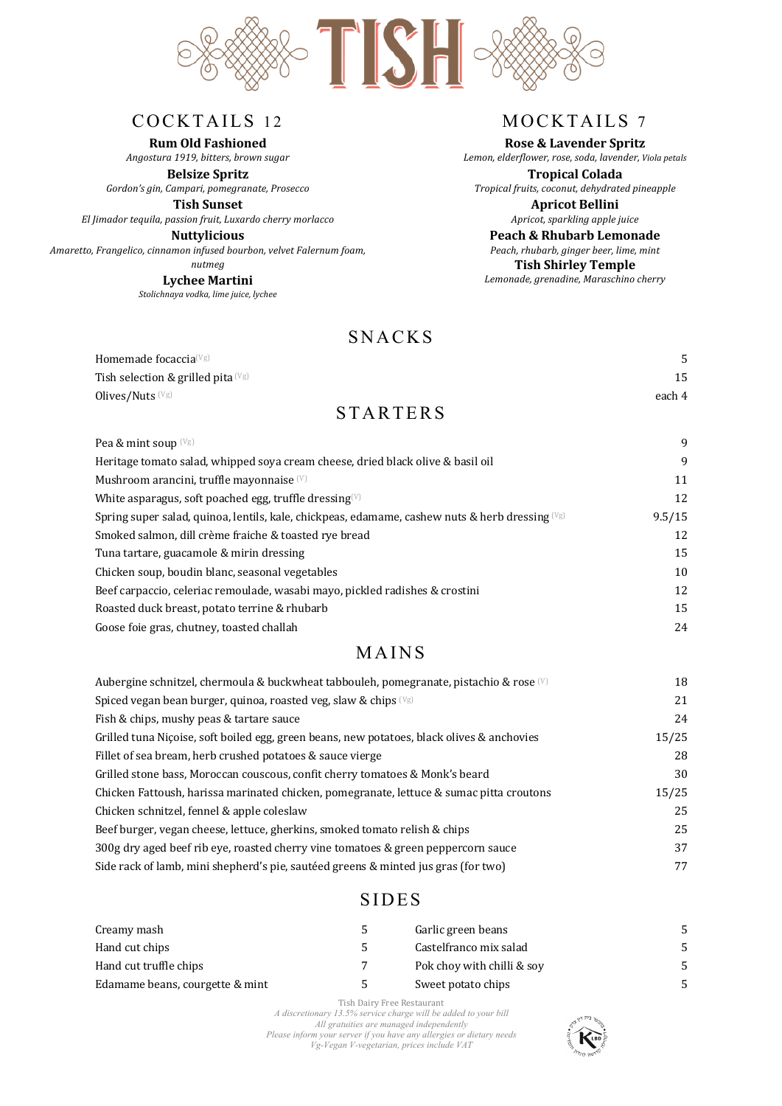

### COCKTAILS 12

**Rum Old Fashioned**

*Angostura 1919, bitters, brown sugar*  **Belsize Spritz**

*Gordon's gin, Campari, pomegranate, Prosecco*

**Tish Sunset** *El Jimador tequila, passion fruit, Luxardo cherry morlacco* 

**Nuttylicious** *Amaretto, Frangelico, cinnamon infused bourbon, velvet Falernum foam, nutmeg*

**Lychee Martini** *Stolichnaya vodka, lime juice, lychee*

# MOCKTAILS 7

#### **Rose & Lavender Spritz**

*Lemon, elderflower, rose, soda, lavender, Viola petals*

**Tropical Colada** *Tropical fruits, coconut, dehydrated pineapple*

> **Apricot Bellini** *Apricot, sparkling apple juice*

**Peach & Rhubarb Lemonade** *Peach, rhubarb, ginger beer, lime, mint* **Tish Shirley Temple** *Lemonade, grenadine, Maraschino cherry*

### **SNACKS**

| Homemade focaccia $^{\textrm{\tiny{(Vg)}}}$ |        |
|---------------------------------------------|--------|
| Tish selection & grilled pita $(\forall g)$ | 15     |
| Olives/Nuts (Vg)                            | each 4 |
| <b>STARTERS</b>                             |        |

 $\text{Pea } \& \text{min} \left( \frac{Vg}{g} \right)$  9

| $1$ ca $\alpha$ mint so ap $\sim$                                                                  |        |
|----------------------------------------------------------------------------------------------------|--------|
| Heritage tomato salad, whipped soya cream cheese, dried black olive & basil oil                    | 9      |
| Mushroom arancini, truffle mayonnaise <sup>(V)</sup>                                               | 11     |
| White asparagus, soft poached egg, truffle dressing $(V)$                                          | 12     |
| Spring super salad, quinoa, lentils, kale, chickpeas, edamame, cashew nuts & herb dressing $(v_g)$ | 9.5/15 |
| Smoked salmon, dill crème fraiche & toasted rye bread                                              | 12     |
| Tuna tartare, guacamole & mirin dressing                                                           | 15     |
| Chicken soup, boudin blanc, seasonal vegetables                                                    | 10     |
| Beef carpaccio, celeriac remoulade, wasabi mayo, pickled radishes & crostini                       | 12     |
| Roasted duck breast, potato terrine & rhubarb                                                      | 15     |
| Goose foie gras, chutney, toasted challah                                                          | 24     |
|                                                                                                    |        |

## MAINS

| Aubergine schnitzel, chermoula & buckwheat tabbouleh, pomegranate, pistachio & rose (V)    | 18    |
|--------------------------------------------------------------------------------------------|-------|
| Spiced vegan bean burger, quinoa, roasted veg, slaw & chips $(v_{\rm g})$                  | 21    |
| Fish & chips, mushy peas & tartare sauce                                                   | 24    |
| Grilled tuna Niçoise, soft boiled egg, green beans, new potatoes, black olives & anchovies | 15/25 |
| Fillet of sea bream, herb crushed potatoes & sauce vierge                                  | 28    |
| Grilled stone bass, Moroccan couscous, confit cherry tomatoes & Monk's beard               | 30    |
| Chicken Fattoush, harissa marinated chicken, pomegranate, lettuce & sumac pitta croutons   | 15/25 |
| Chicken schnitzel, fennel & apple coleslaw                                                 | 25    |
| Beef burger, vegan cheese, lettuce, gherkins, smoked tomato relish & chips                 | 25    |
| 300g dry aged beef rib eye, roasted cherry vine tomatoes & green peppercorn sauce          | 37    |
| Side rack of lamb, mini shepherd's pie, sautéed greens & minted jus gras (for two)         | 77    |

### SIDES

| Creamy mash                     | $\mathcal{D}$ | Garlic green beans         |  |
|---------------------------------|---------------|----------------------------|--|
| Hand cut chips                  |               | Castelfranco mix salad     |  |
| Hand cut truffle chips          |               | Pok choy with chilli & soy |  |
| Edamame beans, courgette & mint | ∽             | Sweet potato chips         |  |

Tish Dairy Free Restaurant *A discretionary 13.5% service charge will be added to your bill All gratuities are managed independently Please inform your server if you have any allergies or dietary needs Vg-Vegan V-vegetarian, prices include VAT*